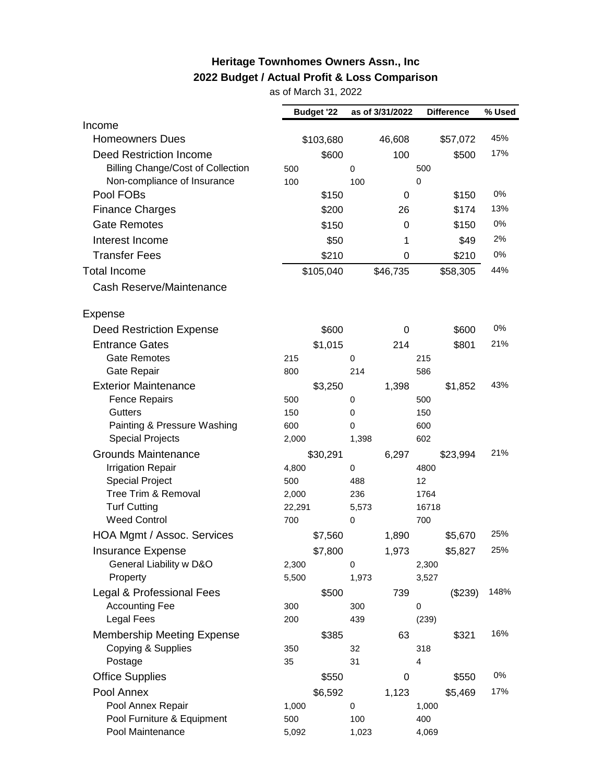## **Heritage Townhomes Owners Assn., Inc 2022 Budget / Actual Profit & Loss Comparison**

as of March 31, 2022

|                                          |        | <b>Budget '22</b> |             | as of 3/31/2022 |             | <b>Difference</b> | % Used |
|------------------------------------------|--------|-------------------|-------------|-----------------|-------------|-------------------|--------|
| Income                                   |        |                   |             |                 |             |                   |        |
| <b>Homeowners Dues</b>                   |        | \$103,680         |             | 46,608          |             | \$57,072          | 45%    |
| <b>Deed Restriction Income</b>           |        | \$600             |             | 100             |             | \$500             | 17%    |
| <b>Billing Change/Cost of Collection</b> | 500    |                   | $\mathbf 0$ |                 | 500         |                   |        |
| Non-compliance of Insurance              | 100    |                   | 100         |                 | $\mathbf 0$ |                   |        |
| Pool FOBs                                |        | \$150             |             | 0               |             | \$150             | 0%     |
| <b>Finance Charges</b>                   |        | \$200             |             | 26              |             | \$174             | 13%    |
| <b>Gate Remotes</b>                      |        | \$150             |             | 0               |             | \$150             | 0%     |
| Interest Income                          |        | \$50              |             | 1               |             | \$49              | 2%     |
| <b>Transfer Fees</b>                     |        | \$210             |             | 0               |             | \$210             | 0%     |
| <b>Total Income</b>                      |        | \$105,040         |             |                 |             |                   | 44%    |
|                                          |        |                   |             | \$46,735        |             | \$58,305          |        |
| Cash Reserve/Maintenance                 |        |                   |             |                 |             |                   |        |
| Expense                                  |        |                   |             |                 |             |                   |        |
| <b>Deed Restriction Expense</b>          |        | \$600             |             | 0               |             | \$600             | 0%     |
| <b>Entrance Gates</b>                    |        | \$1,015           |             | 214             |             | \$801             | 21%    |
| <b>Gate Remotes</b>                      | 215    |                   | 0           |                 | 215         |                   |        |
| Gate Repair                              | 800    |                   | 214         |                 | 586         |                   |        |
| <b>Exterior Maintenance</b>              |        | \$3,250           |             | 1,398           |             | \$1,852           | 43%    |
| <b>Fence Repairs</b>                     | 500    |                   | 0           |                 | 500         |                   |        |
| <b>Gutters</b>                           | 150    |                   | 0           |                 | 150         |                   |        |
| Painting & Pressure Washing              | 600    |                   | 0           |                 | 600         |                   |        |
| <b>Special Projects</b>                  | 2,000  |                   | 1,398       |                 | 602         |                   |        |
| <b>Grounds Maintenance</b>               |        | \$30,291          |             | 6,297           |             | \$23,994          | 21%    |
| <b>Irrigation Repair</b>                 | 4,800  |                   | 0           |                 | 4800        |                   |        |
| <b>Special Project</b>                   | 500    |                   | 488         |                 | 12          |                   |        |
| Tree Trim & Removal                      | 2,000  |                   | 236         |                 | 1764        |                   |        |
| <b>Turf Cutting</b>                      | 22,291 |                   | 5,573       |                 | 16718       |                   |        |
| <b>Weed Control</b>                      | 700    |                   | $\mathbf 0$ |                 | 700         |                   |        |
| HOA Mgmt / Assoc. Services               |        | \$7,560           |             | 1,890           |             | \$5,670           | 25%    |
| <b>Insurance Expense</b>                 |        | \$7,800           |             | 1,973           |             | \$5,827           | 25%    |
| General Liability w D&O                  | 2,300  |                   | 0           |                 | 2,300       |                   |        |
| Property                                 | 5,500  |                   | 1,973       |                 | 3,527       |                   |        |
| Legal & Professional Fees                |        | \$500             |             | 739             |             | (\$239)           | 148%   |
| <b>Accounting Fee</b>                    | 300    |                   | 300         |                 | 0           |                   |        |
| <b>Legal Fees</b>                        | 200    |                   | 439         |                 | (239)       |                   |        |
| <b>Membership Meeting Expense</b>        |        | \$385             |             | 63              |             | \$321             | 16%    |
| Copying & Supplies                       | 350    |                   | 32          |                 | 318         |                   |        |
| Postage                                  | 35     |                   | 31          |                 | 4           |                   |        |
| <b>Office Supplies</b>                   |        | \$550             |             | 0               |             | \$550             | 0%     |
| Pool Annex                               |        | \$6,592           |             | 1,123           |             | \$5,469           | 17%    |
| Pool Annex Repair                        | 1,000  |                   | 0           |                 | 1,000       |                   |        |
| Pool Furniture & Equipment               | 500    |                   | 100         |                 | 400         |                   |        |
| Pool Maintenance                         | 5,092  |                   | 1,023       |                 | 4,069       |                   |        |